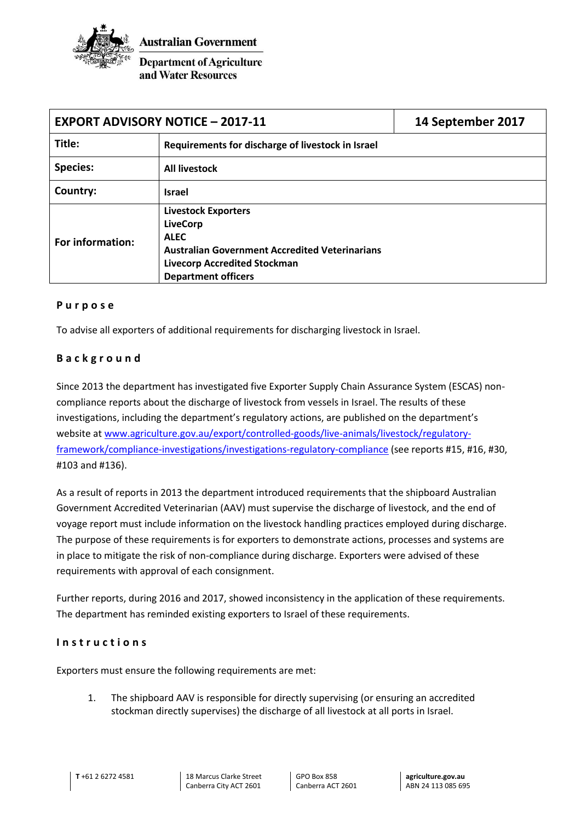

**Department of Agriculture** and Water Resources

| <b>EXPORT ADVISORY NOTICE - 2017-11</b> |                                                                                                                                                                                            | 14 September 2017 |
|-----------------------------------------|--------------------------------------------------------------------------------------------------------------------------------------------------------------------------------------------|-------------------|
| Title:                                  | Requirements for discharge of livestock in Israel                                                                                                                                          |                   |
| <b>Species:</b>                         | <b>All livestock</b>                                                                                                                                                                       |                   |
| Country:                                | <b>Israel</b>                                                                                                                                                                              |                   |
| For information:                        | <b>Livestock Exporters</b><br><b>LiveCorp</b><br><b>ALEC</b><br><b>Australian Government Accredited Veterinarians</b><br><b>Livecorp Accredited Stockman</b><br><b>Department officers</b> |                   |

## **P u r p o s e**

To advise all exporters of additional requirements for discharging livestock in Israel.

## **B a c k g r o u n d**

Since 2013 the department has investigated five Exporter Supply Chain Assurance System (ESCAS) noncompliance reports about the discharge of livestock from vessels in Israel. The results of these investigations, including the department's regulatory actions, are published on the department's website at [www.agriculture.gov.au/export/controlled-goods/live-animals/livestock/regulatory](http://www.agriculture.gov.au/export/controlled-goods/live-animals/livestock/regulatory-framework/compliance-investigations/investigations-regulatory-compliance)[framework/compliance-investigations/investigations-regulatory-compliance](http://www.agriculture.gov.au/export/controlled-goods/live-animals/livestock/regulatory-framework/compliance-investigations/investigations-regulatory-compliance) (see reports #15, #16, #30, #103 and #136).

As a result of reports in 2013 the department introduced requirements that the shipboard Australian Government Accredited Veterinarian (AAV) must supervise the discharge of livestock, and the end of voyage report must include information on the livestock handling practices employed during discharge. The purpose of these requirements is for exporters to demonstrate actions, processes and systems are in place to mitigate the risk of non-compliance during discharge. Exporters were advised of these requirements with approval of each consignment.

Further reports, during 2016 and 2017, showed inconsistency in the application of these requirements. The department has reminded existing exporters to Israel of these requirements.

## **I n s t r u c t i o n s**

Exporters must ensure the following requirements are met:

1. The shipboard AAV is responsible for directly supervising (or ensuring an accredited stockman directly supervises) the discharge of all livestock at all ports in Israel.